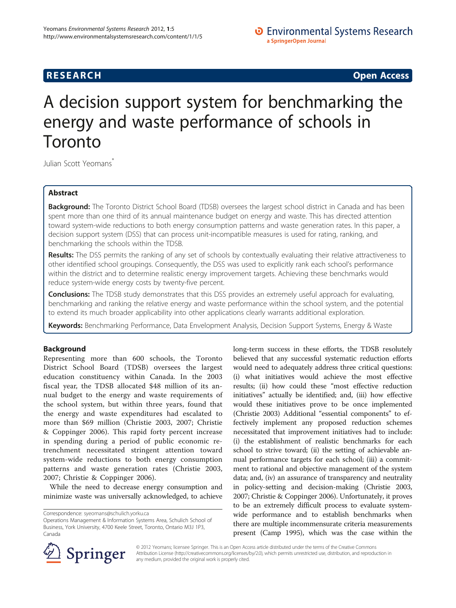## **RESEARCH CHINESE ARCH CHINESE ARCH CHINESE ARCH <b>CHINESE ARCH**

# A decision support system for benchmarking the energy and waste performance of schools in Toronto

Julian Scott Yeomans<sup>\*</sup>

## Abstract

Background: The Toronto District School Board (TDSB) oversees the largest school district in Canada and has been spent more than one third of its annual maintenance budget on energy and waste. This has directed attention toward system-wide reductions to both energy consumption patterns and waste generation rates. In this paper, a decision support system (DSS) that can process unit-incompatible measures is used for rating, ranking, and benchmarking the schools within the TDSB.

Results: The DSS permits the ranking of any set of schools by contextually evaluating their relative attractiveness to other identified school groupings. Consequently, the DSS was used to explicitly rank each school's performance within the district and to determine realistic energy improvement targets. Achieving these benchmarks would reduce system-wide energy costs by twenty-five percent.

**Conclusions:** The TDSB study demonstrates that this DSS provides an extremely useful approach for evaluating, benchmarking and ranking the relative energy and waste performance within the school system, and the potential to extend its much broader applicability into other applications clearly warrants additional exploration.

Keywords: Benchmarking Performance, Data Envelopment Analysis, Decision Support Systems, Energy & Waste

## Background

Representing more than 600 schools, the Toronto District School Board (TDSB) oversees the largest education constituency within Canada. In the 2003 fiscal year, the TDSB allocated \$48 million of its annual budget to the energy and waste requirements of the school system, but within three years, found that the energy and waste expenditures had escalated to more than \$69 million (Christie [2003](#page-11-0), [2007](#page-11-0); Christie & Coppinger [2006](#page-11-0)). This rapid forty percent increase in spending during a period of public economic retrenchment necessitated stringent attention toward system-wide reductions to both energy consumption patterns and waste generation rates (Christie [2003](#page-11-0), [2007;](#page-11-0) Christie & Coppinger [2006](#page-11-0)).

While the need to decrease energy consumption and minimize waste was universally acknowledged, to achieve

long-term success in these efforts, the TDSB resolutely believed that any successful systematic reduction efforts would need to adequately address three critical questions: (i) what initiatives would achieve the most effective results; (ii) how could these "most effective reduction initiatives" actually be identified; and, (iii) how effective would these initiatives prove to be once implemented (Christie [2003\)](#page-11-0) Additional "essential components" to effectively implement any proposed reduction schemes necessitated that improvement initiatives had to include: (i) the establishment of realistic benchmarks for each school to strive toward; (ii) the setting of achievable annual performance targets for each school; (iii) a commitment to rational and objective management of the system data; and, (iv) an assurance of transparency and neutrality in policy-setting and decision-making (Christie [2003](#page-11-0), [2007;](#page-11-0) Christie & Coppinger [2006](#page-11-0)). Unfortunately, it proves to be an extremely difficult process to evaluate systemwide performance and to establish benchmarks when there are multiple incommensurate criteria measurements present (Camp [1995](#page-11-0)), which was the case within the



© 2012 Yeomans; licensee Springer. This is an Open Access article distributed under the terms of the Creative Commons Attribution License (http://creativecommons.org/licenses/by/2.0), which permits unrestricted use, distribution, and reproduction in any medium, provided the original work is properly cited.

Correspondence: [syeomans@schulich.yorku.ca](mailto:syeomans@schulich.yorku.ca)

Operations Management & Information Systems Area, Schulich School of Business, York University, 4700 Keele Street, Toronto, Ontario M3J 1P3, Canada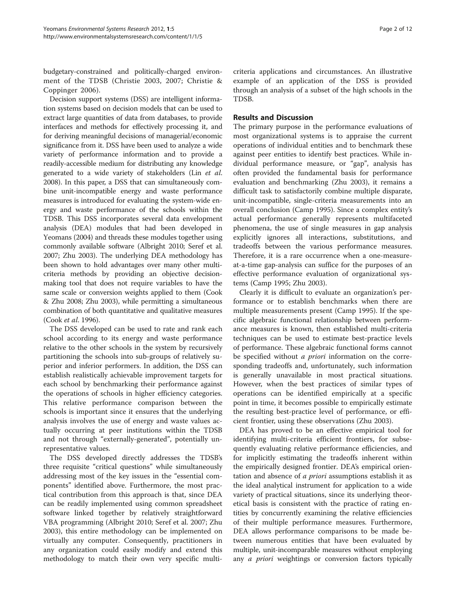budgetary-constrained and politically-charged environment of the TDSB (Christie [2003, 2007;](#page-11-0) Christie & Coppinger [2006\)](#page-11-0).

Decision support systems (DSS) are intelligent information systems based on decision models that can be used to extract large quantities of data from databases, to provide interfaces and methods for effectively processing it, and for deriving meaningful decisions of managerial/economic significance from it. DSS have been used to analyze a wide variety of performance information and to provide a readily-accessible medium for distributing any knowledge generated to a wide variety of stakeholders (Lin et al. [2008\)](#page-11-0). In this paper, a DSS that can simultaneously combine unit-incompatible energy and waste performance measures is introduced for evaluating the system-wide energy and waste performance of the schools within the TDSB. This DSS incorporates several data envelopment analysis (DEA) modules that had been developed in Yeomans [\(2004](#page-11-0)) and threads these modules together using commonly available software (Albright [2010;](#page-11-0) Seref et al. [2007;](#page-11-0) Zhu [2003\)](#page-11-0). The underlying DEA methodology has been shown to hold advantages over many other multicriteria methods by providing an objective decisionmaking tool that does not require variables to have the same scale or conversion weights applied to them (Cook & Zhu [2008](#page-11-0); Zhu [2003](#page-11-0)), while permitting a simultaneous combination of both quantitative and qualitative measures (Cook et al. [1996](#page-11-0)).

The DSS developed can be used to rate and rank each school according to its energy and waste performance relative to the other schools in the system by recursively partitioning the schools into sub-groups of relatively superior and inferior performers. In addition, the DSS can establish realistically achievable improvement targets for each school by benchmarking their performance against the operations of schools in higher efficiency categories. This relative performance comparison between the schools is important since it ensures that the underlying analysis involves the use of energy and waste values actually occurring at peer institutions within the TDSB and not through "externally-generated", potentially unrepresentative values.

The DSS developed directly addresses the TDSB's three requisite "critical questions" while simultaneously addressing most of the key issues in the "essential components" identified above. Furthermore, the most practical contribution from this approach is that, since DEA can be readily implemented using common spreadsheet software linked together by relatively straightforward VBA programming (Albright [2010;](#page-11-0) Seref et al. [2007;](#page-11-0) Zhu [2003](#page-11-0)), this entire methodology can be implemented on virtually any computer. Consequently, practitioners in any organization could easily modify and extend this methodology to match their own very specific multicriteria applications and circumstances. An illustrative example of an application of the DSS is provided through an analysis of a subset of the high schools in the TDSB.

### Results and Discussion

The primary purpose in the performance evaluations of most organizational systems is to appraise the current operations of individual entities and to benchmark these against peer entities to identify best practices. While individual performance measure, or "gap", analysis has often provided the fundamental basis for performance evaluation and benchmarking (Zhu [2003](#page-11-0)), it remains a difficult task to satisfactorily combine multiple disparate, unit-incompatible, single-criteria measurements into an overall conclusion (Camp [1995](#page-11-0)). Since a complex entity's actual performance generally represents multifaceted phenomena, the use of single measures in gap analysis explicitly ignores all interactions, substitutions, and tradeoffs between the various performance measures. Therefore, it is a rare occurrence when a one-measureat-a-time gap-analysis can suffice for the purposes of an effective performance evaluation of organizational systems (Camp [1995](#page-11-0); Zhu [2003\)](#page-11-0).

Clearly it is difficult to evaluate an organization's performance or to establish benchmarks when there are multiple measurements present (Camp [1995\)](#page-11-0). If the specific algebraic functional relationship between performance measures is known, then established multi-criteria techniques can be used to estimate best-practice levels of performance. These algebraic functional forms cannot be specified without *a priori* information on the corresponding tradeoffs and, unfortunately, such information is generally unavailable in most practical situations. However, when the best practices of similar types of operations can be identified empirically at a specific point in time, it becomes possible to empirically estimate the resulting best-practice level of performance, or efficient frontier, using these observations (Zhu [2003](#page-11-0)).

DEA has proved to be an effective empirical tool for identifying multi-criteria efficient frontiers, for subsequently evaluating relative performance efficiencies, and for implicitly estimating the tradeoffs inherent within the empirically designed frontier. DEA's empirical orientation and absence of *a priori* assumptions establish it as the ideal analytical instrument for application to a wide variety of practical situations, since its underlying theoretical basis is consistent with the practice of rating entities by concurrently examining the relative efficiencies of their multiple performance measures. Furthermore, DEA allows performance comparisons to be made between numerous entities that have been evaluated by multiple, unit-incomparable measures without employing any *a priori* weightings or conversion factors typically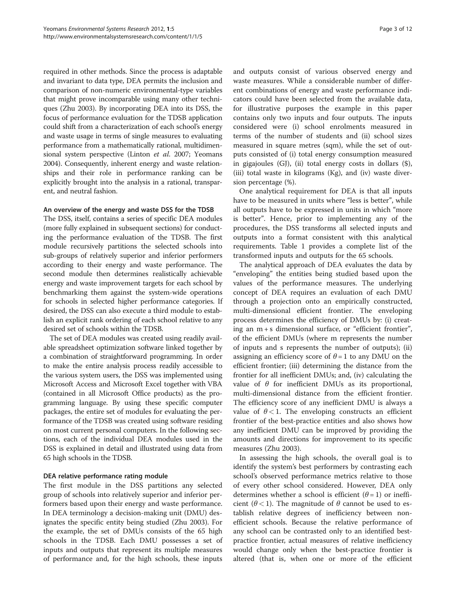required in other methods. Since the process is adaptable and invariant to data type, DEA permits the inclusion and comparison of non-numeric environmental-type variables that might prove incomparable using many other techniques (Zhu [2003\)](#page-11-0). By incorporating DEA into its DSS, the focus of performance evaluation for the TDSB application could shift from a characterization of each school's energy and waste usage in terms of single measures to evaluating performance from a mathematically rational, multidimensional system perspective (Linton et al. [2007;](#page-11-0) Yeomans [2004\)](#page-11-0). Consequently, inherent energy and waste relationships and their role in performance ranking can be explicitly brought into the analysis in a rational, transparent, and neutral fashion.

#### An overview of the energy and waste DSS for the TDSB

The DSS, itself, contains a series of specific DEA modules (more fully explained in subsequent sections) for conducting the performance evaluation of the TDSB. The first module recursively partitions the selected schools into sub-groups of relatively superior and inferior performers according to their energy and waste performance. The second module then determines realistically achievable energy and waste improvement targets for each school by benchmarking them against the system-wide operations for schools in selected higher performance categories. If desired, the DSS can also execute a third module to establish an explicit rank ordering of each school relative to any desired set of schools within the TDSB.

The set of DEA modules was created using readily available spreadsheet optimization software linked together by a combination of straightforward programming. In order to make the entire analysis process readily accessible to the various system users, the DSS was implemented using Microsoft Access and Microsoft Excel together with VBA (contained in all Microsoft Office products) as the programming language. By using these specific computer packages, the entire set of modules for evaluating the performance of the TDSB was created using software residing on most current personal computers. In the following sections, each of the individual DEA modules used in the DSS is explained in detail and illustrated using data from 65 high schools in the TDSB.

## DEA relative performance rating module

The first module in the DSS partitions any selected group of schools into relatively superior and inferior performers based upon their energy and waste performance. In DEA terminology a decision-making unit (DMU) designates the specific entity being studied (Zhu [2003\)](#page-11-0). For the example, the set of DMUs consists of the 65 high schools in the TDSB. Each DMU possesses a set of inputs and outputs that represent its multiple measures of performance and, for the high schools, these inputs and outputs consist of various observed energy and waste measures. While a considerable number of different combinations of energy and waste performance indicators could have been selected from the available data, for illustrative purposes the example in this paper contains only two inputs and four outputs. The inputs considered were (i) school enrolments measured in terms of the number of students and (ii) school sizes measured in square metres (sqm), while the set of outputs consisted of (i) total energy consumption measured in gigajoules (GJ), (ii) total energy costs in dollars (\$), (iii) total waste in kilograms (Kg), and (iv) waste diversion percentage (%).

One analytical requirement for DEA is that all inputs have to be measured in units where "less is better", while all outputs have to be expressed in units in which "more is better". Hence, prior to implementing any of the procedures, the DSS transforms all selected inputs and outputs into a format consistent with this analytical requirements. Table [1](#page-3-0) provides a complete list of the transformed inputs and outputs for the 65 schools.

The analytical approach of DEA evaluates the data by "enveloping" the entities being studied based upon the values of the performance measures. The underlying concept of DEA requires an evaluation of each DMU through a projection onto an empirically constructed, multi-dimensional efficient frontier. The enveloping process determines the efficiency of DMUs by: (i) creating an  $m + s$  dimensional surface, or "efficient frontier", of the efficient DMUs (where m represents the number of inputs and s represents the number of outputs); (ii) assigning an efficiency score of  $\theta = 1$  to any DMU on the efficient frontier; (iii) determining the distance from the frontier for all inefficient DMUs; and, (iv) calculating the value of  $\theta$  for inefficient DMUs as its proportional, multi-dimensional distance from the efficient frontier. The efficiency score of any inefficient DMU is always a value of  $\theta$  < 1. The enveloping constructs an efficient frontier of the best-practice entities and also shows how any inefficient DMU can be improved by providing the amounts and directions for improvement to its specific measures (Zhu [2003](#page-11-0)).

In assessing the high schools, the overall goal is to identify the system's best performers by contrasting each school's observed performance metrics relative to those of every other school considered. However, DEA only determines whether a school is efficient  $(\theta = 1)$  or inefficient ( $\theta$  < 1). The magnitude of  $\theta$  cannot be used to establish relative degrees of inefficiency between nonefficient schools. Because the relative performance of any school can be contrasted only to an identified bestpractice frontier, actual measures of relative inefficiency would change only when the best-practice frontier is altered (that is, when one or more of the efficient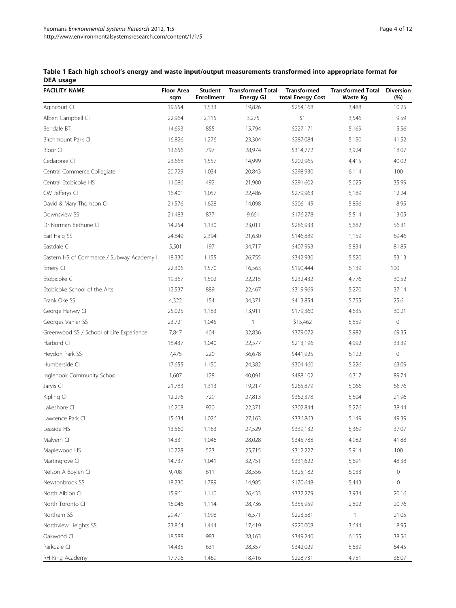| <b>FACILITY NAME</b>                      | <b>Floor Area</b><br>sqm | <b>Student</b><br><b>Enrollment</b> | <b>Transformed Total</b><br>Energy GJ | <b>Transformed</b><br>total Energy Cost | <b>Transformed Total</b><br>Waste Kg | <b>Diversion</b><br>(%) |
|-------------------------------------------|--------------------------|-------------------------------------|---------------------------------------|-----------------------------------------|--------------------------------------|-------------------------|
| Agincourt Cl                              | 19,554                   | 1,533                               | 19,826                                | \$254,168                               | 3,488                                | 10.25                   |
| Albert Campbell CI                        | 22,964                   | 2,115                               | 3,275                                 | \$1                                     | 3,546                                | 9.59                    |
| Bendale BTI                               | 14,693                   | 855                                 | 15,794                                | \$227,171                               | 5,169                                | 15.56                   |
| Birchmount Park CI                        | 16,826                   | 1,276                               | 23,304                                | \$287,084                               | 5,150                                | 41.52                   |
| <b>Bloor Cl</b>                           | 13,656                   | 797                                 | 28,974                                | \$314,772                               | 3,924                                | 18.07                   |
| Cedarbrae CI                              | 23,668                   | 1,557                               | 14,999                                | \$202,965                               | 4,415                                | 40.02                   |
| Central Commerce Collegiate               | 20,729                   | 1,034                               | 20,843                                | \$298,930                               | 6,114                                | 100                     |
| Central Etobicoke HS                      | 11,086                   | 492                                 | 21,900                                | \$291,602                               | 5,025                                | 35.99                   |
| CW Jefferys CI                            | 16,401                   | 1,057                               | 22,486                                | \$279,963                               | 5,189                                | 12.24                   |
| David & Mary Thomson CI                   | 21,576                   | 1,628                               | 14,098                                | \$206,145                               | 5,856                                | 8.95                    |
| Downsview SS                              | 21,483                   | 877                                 | 9,661                                 | \$176,278                               | 5,514                                | 13.05                   |
| Dr Norman Bethune CI                      | 14,254                   | 1,130                               | 23,011                                | \$286,933                               | 5,682                                | 56.31                   |
| Earl Haig SS                              | 24,849                   | 2,394                               | 21,630                                | \$146,889                               | 1,159                                | 69.46                   |
| Eastdale CI                               | 5,501                    | 197                                 | 34,717                                | \$407,993                               | 5,834                                | 81.85                   |
| Eastern HS of Commerce / Subway Academy I | 18,330                   | 1,155                               | 26,755                                | \$342,930                               | 5,520                                | 53.13                   |
| Emery CI                                  | 22,306                   | 1,570                               | 16,563                                | \$190,444                               | 6,139                                | 100                     |
| Etobicoke CI                              | 19,367                   | 1,502                               | 22,215                                | \$232,432                               | 4,776                                | 30.52                   |
| Etobicoke School of the Arts              | 12,537                   | 889                                 | 22,467                                | \$319,969                               | 5,270                                | 37.14                   |
| Frank Oke SS                              | 4,322                    | 154                                 | 34,371                                | \$413,854                               | 5,755                                | 25.6                    |
| George Harvey CI                          | 25,025                   | 1,183                               | 13,911                                | \$179,360                               | 4,635                                | 30.21                   |
| Georges Vanier SS                         | 23,721                   | 1,045                               | $\mathbf{1}$                          | \$15,462                                | 5,859                                | $\mathbf 0$             |
| Greenwood SS / School of Life Experience  | 7,847                    | 404                                 | 32,836                                | \$379,072                               | 5,982                                | 69.35                   |
| Harbord Cl                                | 18,437                   | 1,040                               | 22,577                                | \$213,196                               | 4,992                                | 33.39                   |
| Heydon Park SS                            | 7,475                    | 220                                 | 36,678                                | \$441,925                               | 6,122                                | $\mathbf{0}$            |
| Humberside CI                             | 17,655                   | 1,150                               | 24,382                                | \$304,460                               | 5,226                                | 63.09                   |
| Inglenook Community School                | 1,607                    | 128                                 | 40,091                                | \$488,102                               | 6,317                                | 89.74                   |
| Jarvis Cl                                 | 21,783                   | 1,313                               | 19,217                                | \$265,879                               | 5,066                                | 66.76                   |
| Kipling Cl                                | 12,276                   | 729                                 | 27,813                                | \$362,378                               | 5,504                                | 21.96                   |
| Lakeshore CI                              | 16,208                   | 920                                 | 22,371                                | \$302,844                               | 5,276                                | 38.44                   |
| Lawrence Park CI                          | 15,634                   | 1,026                               | 27,163                                | \$336,863                               | 5,149                                | 49.39                   |
| Leaside HS                                | 13,560                   | 1,163                               | 27,529                                | \$339,132                               | 5,369                                | 37.07                   |
| Malvern CI                                | 14,331                   | 1,046                               | 28,028                                | \$345,788                               | 4,982                                | 41.88                   |
| Maplewood HS                              | 10,728                   | 523                                 | 25,715                                | \$312,227                               | 5,914                                | 100                     |
| Martingrove CI                            | 14,737                   | 1,041                               | 32,751                                | \$331,622                               | 5,691                                | 48.38                   |
| Nelson A Boylen CI                        | 9,708                    | 611                                 | 28,556                                | \$325,182                               | 6,033                                | 0                       |
| Newtonbrook SS                            | 18,230                   | 1,789                               | 14,985                                | \$170,648                               | 5,443                                | 0                       |
| North Albion CI                           | 15,961                   | 1,110                               | 26,433                                | \$332,279                               | 3,934                                | 20.16                   |
| North Toronto CI                          | 16,046                   | 1,114                               | 28,736                                | \$355,959                               | 2,802                                | 20.76                   |
| Northern SS                               | 29,471                   | 1,998                               | 16,571                                | \$223,581                               | 1                                    | 21.05                   |
| Northview Heights SS                      | 23,864                   | 1,444                               | 17,419                                | \$220,008                               | 3,644                                | 18.95                   |
| Oakwood Cl                                | 18,588                   | 983                                 | 28,163                                | \$349,240                               | 6,155                                | 38.56                   |
| Parkdale CI                               | 14,435                   | 631                                 | 28,357                                | \$342,029                               | 5,639                                | 64.45                   |
| RH King Academy                           | 17,796                   | 1,469                               | 18,416                                | \$228,731                               | 4,751                                | 36.07                   |

<span id="page-3-0"></span>Table 1 Each high school's energy and waste input/output measurements transformed into appropriate format for DEA usage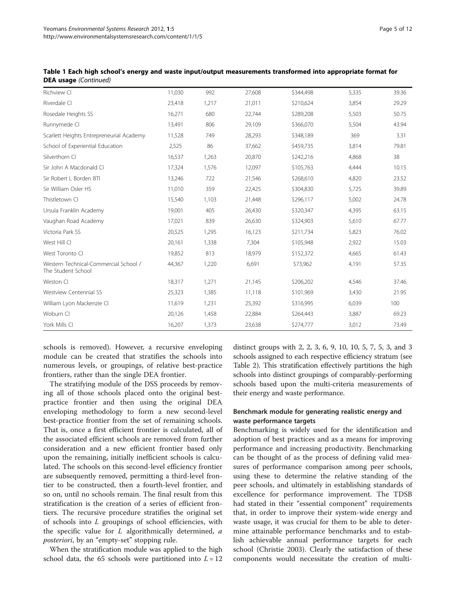| 11,030 | 992   | 27,608 | \$344,498 | 5,335 | 39.36 |
|--------|-------|--------|-----------|-------|-------|
| 23,418 | 1,217 | 21,011 | \$210,624 | 3,854 | 29.29 |
| 16,271 | 680   | 22,744 | \$289,208 | 5,503 | 50.75 |
| 13,491 | 806   | 29,109 | \$366,070 | 5,504 | 43.94 |
| 11,528 | 749   | 28,293 | \$348,189 | 369   | 3.31  |
| 2,525  | 86    | 37,662 | \$459,735 | 3,814 | 79.81 |
| 16,537 | 1,263 | 20,870 | \$242,216 | 4,868 | 38    |
| 17,324 | 1,576 | 12,097 | \$105,763 | 4,444 | 10.15 |
| 13,246 | 722   | 21,546 | \$268,610 | 4,820 | 23.52 |
| 11,010 | 359   | 22,425 | \$304,830 | 5,725 | 39.89 |
| 15,540 | 1,103 | 21,448 | \$296,117 | 5,002 | 24.78 |
| 19,001 | 405   | 26,430 | \$320,347 | 4,395 | 63.15 |
| 17,021 | 839   | 26,630 | \$324,903 | 5,610 | 67.77 |
| 20,525 | 1,295 | 16,123 | \$211,734 | 5,823 | 76.02 |
| 20,161 | 1,338 | 7,304  | \$105,948 | 2,922 | 15.03 |
| 19,852 | 813   | 18,979 | \$152,372 | 4,665 | 61.43 |
| 44,367 | 1,220 | 6,691  | \$73,962  | 4,191 | 57.35 |
| 18,317 | 1,271 | 21,145 | \$206,202 | 4,546 | 37.46 |
| 25,323 | 1,385 | 11,118 | \$101,969 | 3,430 | 21.95 |
| 11,619 | 1,231 | 25,392 | \$316,995 | 6,039 | 100   |
| 20,126 | 1,458 | 22,884 | \$264,443 | 3,887 | 69.23 |
| 16,207 | 1,373 | 23,638 | \$274,777 | 3,012 | 73.49 |
|        |       |        |           |       |       |

Table 1 Each high school's energy and waste input/output measurements transformed into appropriate format for DEA usage (Continued)

schools is removed). However, a recursive enveloping module can be created that stratifies the schools into numerous levels, or groupings, of relative best-practice frontiers, rather than the single DEA frontier.

The stratifying module of the DSS proceeds by removing all of those schools placed onto the original bestpractice frontier and then using the original DEA enveloping methodology to form a new second-level best-practice frontier from the set of remaining schools. That is, once a first efficient frontier is calculated, all of the associated efficient schools are removed from further consideration and a new efficient frontier based only upon the remaining, initially inefficient schools is calculated. The schools on this second-level efficiency frontier are subsequently removed, permitting a third-level frontier to be constructed, then a fourth-level frontier, and so on, until no schools remain. The final result from this stratification is the creation of a series of efficient frontiers. The recursive procedure stratifies the original set of schools into L groupings of school efficiencies, with the specific value for  $L$  algorithmically determined,  $a$ posteriori, by an "empty-set" stopping rule.

When the stratification module was applied to the high school data, the 65 schools were partitioned into  $L = 12$  distinct groups with 2, 2, 3, 6, 9, 10, 10, 5, 7, 5, 3, and 3 schools assigned to each respective efficiency stratum (see Table [2](#page-5-0)). This stratification effectively partitions the high schools into distinct groupings of comparably-performing schools based upon the multi-criteria measurements of their energy and waste performance.

## Benchmark module for generating realistic energy and waste performance targets

Benchmarking is widely used for the identification and adoption of best practices and as a means for improving performance and increasing productivity. Benchmarking can be thought of as the process of defining valid measures of performance comparison among peer schools, using these to determine the relative standing of the peer schools, and ultimately in establishing standards of excellence for performance improvement. The TDSB had stated in their "essential component" requirements that, in order to improve their system-wide energy and waste usage, it was crucial for them to be able to determine attainable performance benchmarks and to establish achievable annual performance targets for each school (Christie [2003\)](#page-11-0). Clearly the satisfaction of these components would necessitate the creation of multi-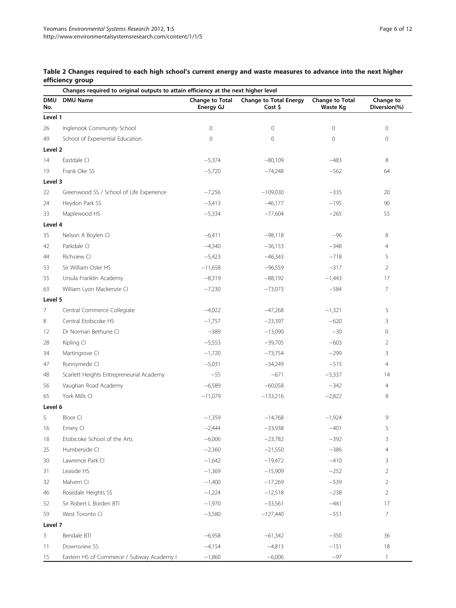|                   | Changes required to original outputs to attain efficiency at the next higher level |                                     |                                          |                                           |                           |  |  |
|-------------------|------------------------------------------------------------------------------------|-------------------------------------|------------------------------------------|-------------------------------------------|---------------------------|--|--|
| <b>DMU</b><br>No. | <b>DMU Name</b>                                                                    | <b>Change to Total</b><br>Energy GJ | <b>Change to Total Energy</b><br>Cost \$ | <b>Change to Total</b><br><b>Waste Kg</b> | Change to<br>Diversion(%) |  |  |
|                   | Level 1                                                                            |                                     |                                          |                                           |                           |  |  |
| 26                | Inglenook Community School                                                         | 0                                   | 0                                        | 0                                         | $\mathsf{O}\xspace$       |  |  |
| 49                | School of Experiential Education                                                   | $\mathbf 0$                         | $\mathbf 0$                              | $\mathbf 0$                               | $\mathsf{O}\xspace$       |  |  |
| Level 2           |                                                                                    |                                     |                                          |                                           |                           |  |  |
| 14                | Eastdale CI                                                                        | $-5,374$                            | $-80,109$                                | $-483$                                    | 8                         |  |  |
| 19                | Frank Oke SS                                                                       | $-5,720$                            | $-74,248$                                | $-562$                                    | 64                        |  |  |
| Level 3           |                                                                                    |                                     |                                          |                                           |                           |  |  |
| 22                | Greenwood SS / School of Life Experience                                           | $-7,256$                            | $-109,030$                               | $-335$                                    | 20                        |  |  |
| 24                | Heydon Park SS                                                                     | $-3,413$                            | $-46,177$                                | $-195$                                    | 90                        |  |  |
| 33                | Maplewood HS                                                                       | $-5,334$                            | $-77,604$                                | $-265$                                    | 55                        |  |  |
| Level 4           |                                                                                    |                                     |                                          |                                           |                           |  |  |
| 35                | Nelson A Boylen CI                                                                 | $-6,411$                            | $-98,118$                                | $-96$                                     | 8                         |  |  |
| 42                | Parkdale CI                                                                        | $-4,340$                            | $-36,153$                                | $-348$                                    | 4                         |  |  |
| 44                | Richview CI                                                                        | $-5,423$                            | $-46,343$                                | $-718$                                    | 5                         |  |  |
| 53                | Sir William Osler HS                                                               | $-11,658$                           | $-96,559$                                | $-317$                                    | $\overline{2}$            |  |  |
| 55                | Ursula Franklin Academy                                                            | $-8,319$                            | $-88,192$                                | $-1,443$                                  | 17                        |  |  |
| 63                | William Lyon Mackenzie CI                                                          | $-7,230$                            | $-73,073$                                | $-584$                                    | 7                         |  |  |
| Level 5           |                                                                                    |                                     |                                          |                                           |                           |  |  |
| 7                 | Central Commerce Collegiate                                                        | $-4,022$                            | $-47,268$                                | $-1,321$                                  | 5                         |  |  |
| 8                 | Central Etobicoke HS                                                               | $-1,757$                            | $-23,397$                                | $-620$                                    | 3                         |  |  |
| 12                | Dr Norman Bethune CI                                                               | $-389$                              | $-13,090$                                | $-30$                                     | 0                         |  |  |
| 28                | Kipling Cl                                                                         | $-5,553$                            | $-39,705$                                | $-603$                                    | $\overline{2}$            |  |  |
| 34                | Martingrove CI                                                                     | $-1,720$                            | $-73,754$                                | $-299$                                    | 3                         |  |  |
| 47                | Runnymede CI                                                                       | $-5,031$                            | $-34,249$                                | $-515$                                    | 4                         |  |  |
| 48                | Scarlett Heights Entrepreneurial Academy                                           | $-55$                               | $-671$                                   | $-5,337$                                  | 14                        |  |  |
| 56                | Vaughan Road Academy                                                               | $-6,589$                            | $-60,058$                                | $-342$                                    | 4                         |  |  |
| 65                | York Mills CI                                                                      | $-11,079$                           | $-133,216$                               | $-2,822$                                  | 8                         |  |  |
| Level 6           |                                                                                    |                                     |                                          |                                           |                           |  |  |
| 5                 | <b>Bloor CI</b>                                                                    | $-1,359$                            | $-14,768$                                | $-1,924$                                  | 9                         |  |  |
| 16                | Emery CI                                                                           | $-2,444$                            | $-33,938$                                | $-401$                                    | 5                         |  |  |
| 18                | Etobicoke School of the Arts                                                       | $-6,006$                            | $-23,782$                                | $-392$                                    | 3                         |  |  |
| 25                | Humberside CI                                                                      | $-2,360$                            | $-21,550$                                | $-386$                                    | 4                         |  |  |
| 30                | Lawrence Park CI                                                                   | $-1,642$                            | $-19,472$                                | $-410$                                    | 3                         |  |  |
| 31                | Leaside HS                                                                         | $-1,369$                            | $-15,909$                                | $-252$                                    | 2                         |  |  |
| 32                | Malvern CI                                                                         | $-1,400$                            | $-17,269$                                | $-539$                                    | 2                         |  |  |
| 46                | Rosedale Heights SS                                                                | $-1,224$                            | $-12,518$                                | $-238$                                    | 2                         |  |  |
| 52                | Sir Robert L Borden BTI                                                            | $-1,970$                            | $-33,561$                                | $-441$                                    | 17                        |  |  |
| 59                | West Toronto CI                                                                    | $-3,580$                            | $-127,440$                               | $-551$                                    | 7                         |  |  |
| Level 7           |                                                                                    |                                     |                                          |                                           |                           |  |  |
| 3                 | Bendale BTI                                                                        | $-6,958$                            | $-61,342$                                | $-350$                                    | 36                        |  |  |
| 11                | Downsview SS                                                                       | $-4,154$                            | $-4,813$                                 | $-151$                                    | 18                        |  |  |
| 15                | Eastern HS of Commerce / Subway Academy I                                          | $-1,860$                            | $-6,006$                                 | $-97$                                     | $\mathbf{1}$              |  |  |

<span id="page-5-0"></span>Table 2 Changes required to each high school's current energy and waste measures to advance into the next higher efficiency group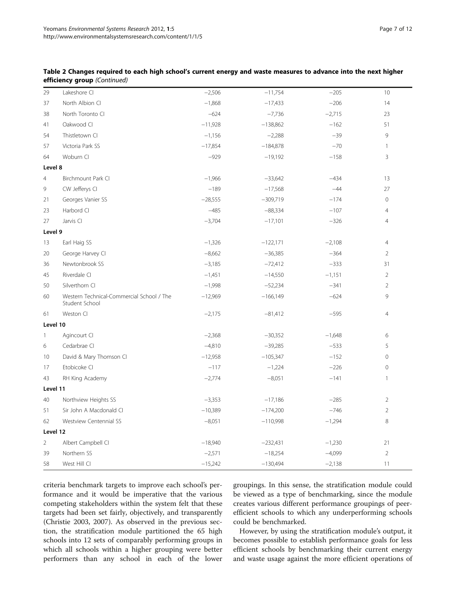| Table 2 Changes required to each high school's current energy and waste measures to advance into the next higher |  |  |
|------------------------------------------------------------------------------------------------------------------|--|--|
| <b>efficiency group</b> (Continued)                                                                              |  |  |

| 29             | Lakeshore CI                                                | $-2,506$  | $-11,754$   | $-205$   | 10             |  |
|----------------|-------------------------------------------------------------|-----------|-------------|----------|----------------|--|
| 37             | North Albion Cl                                             | $-1,868$  | $-17,433$   | $-206$   | 14             |  |
| 38             | North Toronto CI                                            | $-624$    | $-7,736$    | $-2,715$ | 23             |  |
| 41             | Oakwood Cl                                                  | $-11,928$ | $-138,862$  | $-162$   | 51             |  |
| 54             | Thistletown Cl                                              | $-1,156$  | $-2,288$    | $-39$    | 9              |  |
| 57             | Victoria Park SS                                            | $-17,854$ | $-184,878$  | $-70$    | $\mathbf{1}$   |  |
| 64             | Woburn Cl                                                   | $-929$    | $-19,192$   | $-158$   | 3              |  |
| Level 8        |                                                             |           |             |          |                |  |
| $\overline{4}$ | Birchmount Park CI                                          | $-1,966$  | $-33,642$   | $-434$   | 13             |  |
| 9              | CW Jefferys CI                                              | $-189$    | $-17,568$   | $-44$    | 27             |  |
| 21             | Georges Vanier SS                                           | $-28,555$ | $-309,719$  | $-174$   | $\circ$        |  |
| 23             | Harbord CI                                                  | $-485$    | $-88,334$   | $-107$   | $\overline{4}$ |  |
| 27             | Jarvis Cl                                                   | $-3,704$  | $-17,101$   | $-326$   | 4              |  |
| Level 9        |                                                             |           |             |          |                |  |
| 13             | Earl Haig SS                                                | $-1,326$  | $-122,171$  | $-2,108$ | $\overline{4}$ |  |
| 20             | George Harvey CI                                            | $-8,662$  | $-36,385$   | $-364$   | $\overline{2}$ |  |
| 36             | Newtonbrook SS                                              | $-3,185$  | $-72,412$   | $-333$   | 31             |  |
| 45             | Riverdale CI                                                | $-1,451$  | $-14,550$   | $-1,151$ | $\overline{2}$ |  |
| 50             | Silverthorn CI                                              | $-1,998$  | $-52,234$   | $-341$   | $\overline{2}$ |  |
| 60             | Western Technical-Commercial School / The<br>Student School | $-12,969$ | $-166, 149$ | $-624$   | 9              |  |
| 61             | Weston CI                                                   | $-2,175$  | $-81,412$   | $-595$   | $\overline{4}$ |  |
| Level 10       |                                                             |           |             |          |                |  |
| $\mathbf{1}$   | Agincourt Cl                                                | $-2,368$  | $-30,352$   | $-1,648$ | 6              |  |
| 6              | Cedarbrae CI                                                | $-4,810$  | $-39,285$   | $-533$   | 5              |  |
| 10             | David & Mary Thomson CI                                     | $-12,958$ | $-105,347$  | $-152$   | $\circ$        |  |
| 17             | Etobicoke CI                                                | $-117$    | $-1,224$    | $-226$   | $\mathbf 0$    |  |
| 43             | RH King Academy                                             | $-2,774$  | $-8,051$    | $-141$   | $\mathbf{1}$   |  |
| Level 11       |                                                             |           |             |          |                |  |
| 40             | Northview Heights SS                                        | $-3,353$  | $-17,186$   | $-285$   | $\overline{2}$ |  |
| 51             | Sir John A Macdonald Cl                                     | $-10,389$ | $-174,200$  | $-746$   | $\overline{2}$ |  |
| 62             | Westview Centennial SS                                      | $-8,051$  | $-110,998$  | $-1,294$ | 8              |  |
| Level 12       |                                                             |           |             |          |                |  |
| $\overline{2}$ | Albert Campbell CI                                          | $-18,940$ | $-232,431$  | $-1,230$ | 21             |  |
| 39             | Northern SS                                                 | $-2,571$  | $-18,254$   | $-4,099$ | $\overline{2}$ |  |
| 58             | West Hill CI                                                | $-15,242$ | $-130,494$  | $-2,138$ | 11             |  |

criteria benchmark targets to improve each school's performance and it would be imperative that the various competing stakeholders within the system felt that these targets had been set fairly, objectively, and transparently (Christie [2003, 2007\)](#page-11-0). As observed in the previous section, the stratification module partitioned the 65 high schools into 12 sets of comparably performing groups in which all schools within a higher grouping were better performers than any school in each of the lower groupings. In this sense, the stratification module could be viewed as a type of benchmarking, since the module creates various different performance groupings of peerefficient schools to which any underperforming schools could be benchmarked.

However, by using the stratification module's output, it becomes possible to establish performance goals for less efficient schools by benchmarking their current energy and waste usage against the more efficient operations of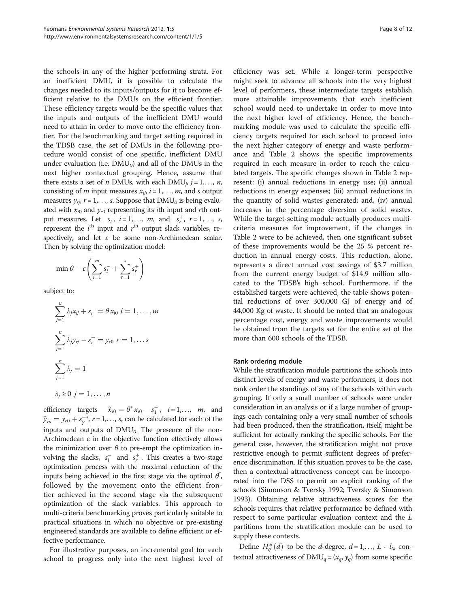the schools in any of the higher performing strata. For an inefficient DMU, it is possible to calculate the changes needed to its inputs/outputs for it to become efficient relative to the DMUs on the efficient frontier. These efficiency targets would be the specific values that the inputs and outputs of the inefficient DMU would need to attain in order to move onto the efficiency frontier. For the benchmarking and target setting required in the TDSB case, the set of DMUs in the following procedure would consist of one specific, inefficient DMU under evaluation (i.e.  $DMU_0$ ) and all of the DMUs in the next higher contextual grouping. Hence, assume that there exists a set of *n* DMUs, with each  $DMU_j$ ,  $j = 1, \ldots, n$ , consisting of *m* input measures  $x_{ij}$ ,  $i = 1, \ldots, m$ , and *s* output measures  $y_{rip}$   $r = 1, \ldots, s$ . Suppose that  $\text{DMU}_0$  is being evaluated with  $x_{i0}$  and  $y_{r0}$  representing its *i*th input and *r*th output measures. Let  $s_i^-$ ,  $i=1,\ldots, m$ , and  $s_r^+$ ,  $r=1,\ldots, s$ , represent the  $i^{\text{th}}$  input and  $r^{\text{th}}$  output slack variables, respectively, and let  $\varepsilon$  be some non-Archimedean scalar. Then by solving the optimization model:

$$
\min \theta - \varepsilon \left( \sum_{i=1}^m s_i^- + \sum_{r=1}^s s_r^+ \right)
$$

subject to:

$$
\sum_{j=1}^{n} \lambda_j x_{ij} + s_i^- = \theta x_{i0} \ i = 1, ..., m
$$
  

$$
\sum_{j=1}^{n} \lambda_j y_{rj} - s_r^+ = y_{r0} \ r = 1, ..., s
$$
  

$$
\sum_{j=1}^{n} \lambda_j = 1
$$
  

$$
\lambda_j \ge 0 \ j = 1, ..., n
$$

efficiency targets  $\hat{x}_{i0} = \theta^* x_{i0} - s_1^-, i = 1,..., m$ , and  $\hat{y}_{ro} = y_{r0} + s_y^{+*}$ ,  $r = 1, \ldots, s$ , can be calculated for each of the inputs and outputs of  $DMU<sub>0</sub>$ . The presence of the non-Archimedean  $\varepsilon$  in the objective function effectively allows the minimization over  $\theta$  to pre-empt the optimization involving the slacks,  $s_i^-$  and  $s_i^+$ . This creates a two-stage optimization process with the maximal reduction of the inputs being achieved in the first stage via the optimal  $\theta^*$ , followed by the movement onto the efficient frontier achieved in the second stage via the subsequent optimization of the slack variables. This approach to multi-criteria benchmarking proves particularly suitable to practical situations in which no objective or pre-existing engineered standards are available to define efficient or effective performance.

For illustrative purposes, an incremental goal for each school to progress only into the next highest level of

efficiency was set. While a longer-term perspective might seek to advance all schools into the very highest level of performers, these intermediate targets establish more attainable improvements that each inefficient school would need to undertake in order to move into the next higher level of efficiency. Hence, the benchmarking module was used to calculate the specific efficiency targets required for each school to proceed into the next higher category of energy and waste performance and Table [2](#page-5-0) shows the specific improvements required in each measure in order to reach the calculated targets. The specific changes shown in Table [2](#page-5-0) represent: (i) annual reductions in energy use; (ii) annual reductions in energy expenses; (iii) annual reductions in the quantity of solid wastes generated; and, (iv) annual increases in the percentage diversion of solid wastes. While the target-setting module actually produces multicriteria measures for improvement, if the changes in Table [2](#page-5-0) were to be achieved, then one significant subset of these improvements would be the 25 % percent reduction in annual energy costs. This reduction, alone, represents a direct annual cost savings of \$3.7 million from the current energy budget of \$14.9 million allocated to the TDSB's high school. Furthermore, if the established targets were achieved, the table shows potential reductions of over 300,000 GJ of energy and of 44,000 Kg of waste. It should be noted that an analogous percentage cost, energy and waste improvements would be obtained from the targets set for the entire set of the more than 600 schools of the TDSB.

#### Rank ordering module

While the stratification module partitions the schools into distinct levels of energy and waste performers, it does not rank order the standings of any of the schools within each grouping. If only a small number of schools were under consideration in an analysis or if a large number of groupings each containing only a very small number of schools had been produced, then the stratification, itself, might be sufficient for actually ranking the specific schools. For the general case, however, the stratification might not prove restrictive enough to permit sufficient degrees of preference discrimination. If this situation proves to be the case, then a contextual attractiveness concept can be incorporated into the DSS to permit an explicit ranking of the schools (Simonson & Tversky [1992](#page-11-0); Tversky & Simonson [1993](#page-11-0)). Obtaining relative attractiveness scores for the schools requires that relative performance be defined with respect to some particular evaluation context and the L partitions from the stratification module can be used to supply these contexts.

Define  $H_q^*(d)$  to be the *d*-degree,  $d = 1, \ldots, L - l_0$ , contextual attractiveness of  $\text{DMU}_q = (x_q, y_q)$  from some specific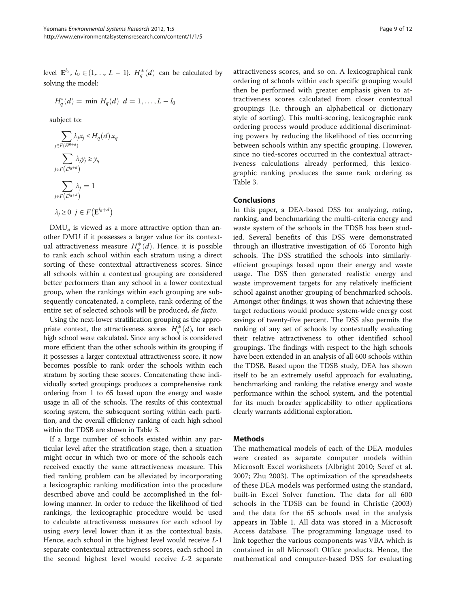level  $\mathbf{E}^{l_0}$ ,  $l_0 \in \{1, \ldots, L-1\}$ .  $H_q^*(d)$  can be calculated by solving the model:

$$
H_q^*(d) = \min H_q(d) \, d = 1, \ldots, L - l_0
$$

subject to:

$$
\sum_{j \in F(E^{l_0+d})} \lambda_j x_j \le H_q(d) x_q
$$
  

$$
\sum_{j \in F(E^{l_0+d})} \lambda_j y_j \ge y_q
$$
  

$$
\sum_{j \in F(E^{l_0+d})} \lambda_j = 1
$$
  

$$
\lambda_j \ge 0 \ \ j \in F(E^{l_0+d})
$$

 $DMU_q$  is viewed as a more attractive option than another DMU if it possesses a larger value for its contextual attractiveness measure  $H_q^*(d)$ . Hence, it is possible to rank each school within each stratum using a direct sorting of these contextual attractiveness scores. Since all schools within a contextual grouping are considered better performers than any school in a lower contextual group, when the rankings within each grouping are subsequently concatenated, a complete, rank ordering of the entire set of selected schools will be produced, de facto.

Using the next-lower stratification grouping as the appropriate context, the attractiveness scores  $H_q^*(d)$ , for each high school were calculated. Since any school is considered more efficient than the other schools within its grouping if it possesses a larger contextual attractiveness score, it now becomes possible to rank order the schools within each stratum by sorting these scores. Concatenating these individually sorted groupings produces a comprehensive rank ordering from 1 to 65 based upon the energy and waste usage in all of the schools. The results of this contextual scoring system, the subsequent sorting within each partition, and the overall efficiency ranking of each high school within the TDSB are shown in Table [3.](#page-9-0)

If a large number of schools existed within any particular level after the stratification stage, then a situation might occur in which two or more of the schools each received exactly the same attractiveness measure. This tied ranking problem can be alleviated by incorporating a lexicographic ranking modification into the procedure described above and could be accomplished in the following manner. In order to reduce the likelihood of tied rankings, the lexicographic procedure would be used to calculate attractiveness measures for each school by using every level lower than it as the contextual basis. Hence, each school in the highest level would receive L-1 separate contextual attractiveness scores, each school in the second highest level would receive L-2 separate

attractiveness scores, and so on. A lexicographical rank ordering of schools within each specific grouping would then be performed with greater emphasis given to attractiveness scores calculated from closer contextual groupings (i.e. through an alphabetical or dictionary style of sorting). This multi-scoring, lexicographic rank ordering process would produce additional discriminating powers by reducing the likelihood of ties occurring between schools within any specific grouping. However, since no tied-scores occurred in the contextual attractiveness calculations already performed, this lexicographic ranking produces the same rank ordering as Table [3.](#page-9-0)

#### Conclusions

In this paper, a DEA-based DSS for analyzing, rating, ranking, and benchmarking the multi-criteria energy and waste system of the schools in the TDSB has been studied. Several benefits of this DSS were demonstrated through an illustrative investigation of 65 Toronto high schools. The DSS stratified the schools into similarlyefficient groupings based upon their energy and waste usage. The DSS then generated realistic energy and waste improvement targets for any relatively inefficient school against another grouping of benchmarked schools. Amongst other findings, it was shown that achieving these target reductions would produce system-wide energy cost savings of twenty-five percent. The DSS also permits the ranking of any set of schools by contextually evaluating their relative attractiveness to other identified school groupings. The findings with respect to the high schools have been extended in an analysis of all 600 schools within the TDSB. Based upon the TDSB study, DEA has shown itself to be an extremely useful approach for evaluating, benchmarking and ranking the relative energy and waste performance within the school system, and the potential for its much broader applicability to other applications clearly warrants additional exploration.

#### Methods

The mathematical models of each of the DEA modules were created as separate computer models within Microsoft Excel worksheets (Albright [2010](#page-11-0); Seref et al. [2007;](#page-11-0) Zhu [2003](#page-11-0)). The optimization of the spreadsheets of these DEA models was performed using the standard, built-in Excel Solver function. The data for all 600 schools in the TDSB can be found in Christie [\(2003](#page-11-0)) and the data for the 65 schools used in the analysis appears in Table [1](#page-3-0). All data was stored in a Microsoft Access database. The programming language used to link together the various components was VBA which is contained in all Microsoft Office products. Hence, the mathematical and computer-based DSS for evaluating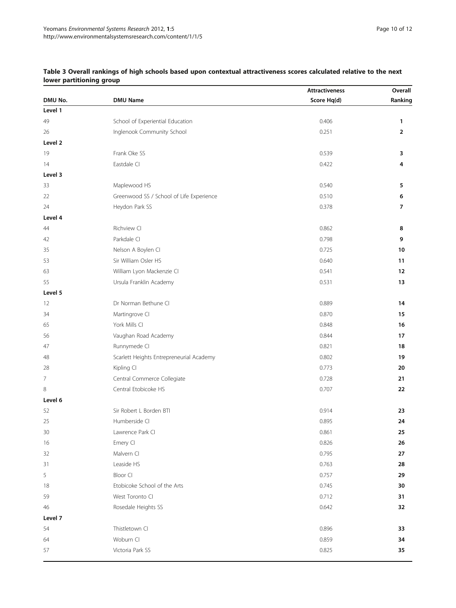|         |                                          | <b>Attractiveness</b> | Overall        |
|---------|------------------------------------------|-----------------------|----------------|
| DMU No. | <b>DMU Name</b>                          | Score Hq(d)           | Ranking        |
| Level 1 |                                          |                       |                |
| 49      | School of Experiential Education         | 0.406                 | 1              |
| 26      | Inglenook Community School               | 0.251                 | $\overline{2}$ |
| Level 2 |                                          |                       |                |
| 19      | Frank Oke SS                             | 0.539                 | 3              |
| 14      | Eastdale CI                              | 0.422                 | 4              |
| Level 3 |                                          |                       |                |
| 33      | Maplewood HS                             | 0.540                 | 5              |
| 22      | Greenwood SS / School of Life Experience | 0.510                 | 6              |
| 24      | Heydon Park SS                           | 0.378                 | 7              |
| Level 4 |                                          |                       |                |
| 44      | Richview CI                              | 0.862                 | 8              |
| 42      | Parkdale CI                              | 0.798                 | 9              |
| 35      | Nelson A Boylen CI                       | 0.725                 | 10             |
| 53      | Sir William Osler HS                     | 0.640                 | 11             |
| 63      | William Lyon Mackenzie CI                | 0.541                 | 12             |
| 55      | Ursula Franklin Academy                  | 0.531                 | 13             |
| Level 5 |                                          |                       |                |
| 12      | Dr Norman Bethune CI                     | 0.889                 | 14             |
| 34      | Martingrove CI                           | 0.870                 | 15             |
| 65      | York Mills CI                            | 0.848                 | 16             |
| 56      | Vaughan Road Academy                     | 0.844                 | 17             |
| 47      | Runnymede CI                             | 0.821                 | 18             |
| 48      | Scarlett Heights Entrepreneurial Academy | 0.802                 | 19             |
| 28      | Kipling Cl                               | 0.773                 | 20             |
| 7       | Central Commerce Collegiate              | 0.728                 | 21             |
| 8       | Central Etobicoke HS                     | 0.707                 | 22             |
| Level 6 |                                          |                       |                |
| 52      | Sir Robert L Borden BTI                  | 0.914                 | 23             |
| 25      | Humberside CI                            | 0.895                 | 24             |
| 30      | Lawrence Park CI                         | 0.861                 | 25             |
| 16      | Emery CI                                 | 0.826                 | 26             |
| 32      | Malvern CI                               | 0.795                 | 27             |
| 31      | Leaside HS                               | 0.763                 | 28             |
| 5       | <b>Bloor Cl</b>                          | 0.757                 | 29             |
| 18      | Etobicoke School of the Arts             | 0.745                 | 30             |
| 59      | West Toronto CI                          | 0.712                 | 31             |
| 46      | Rosedale Heights SS                      | 0.642                 | 32             |
| Level 7 |                                          |                       |                |
| 54      | Thistletown CI                           | 0.896                 | 33             |
| 64      | Woburn Cl                                | 0.859                 | 34             |
| 57      | Victoria Park SS                         | 0.825                 | 35             |
|         |                                          |                       |                |

## <span id="page-9-0"></span>Table 3 Overall rankings of high schools based upon contextual attractiveness scores calculated relative to the next lower partitioning group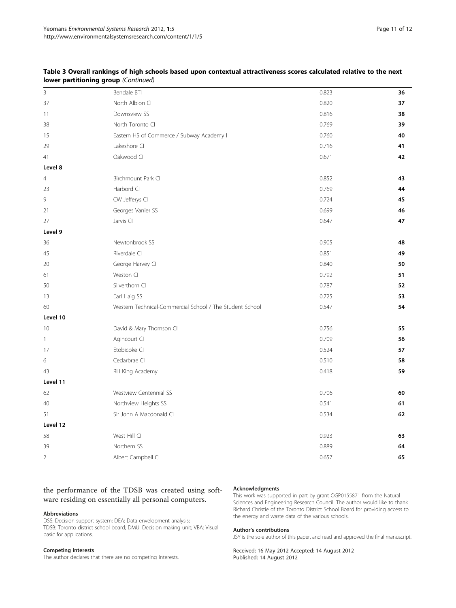|                | wer partitioning group (commaca)                         |       |    |
|----------------|----------------------------------------------------------|-------|----|
| 3              | Bendale BTI                                              | 0.823 | 36 |
| 37             | North Albion CI                                          | 0.820 | 37 |
| 11             | Downsview SS                                             | 0.816 | 38 |
| 38             | North Toronto CI                                         | 0.769 | 39 |
| 15             | Eastern HS of Commerce / Subway Academy I                | 0.760 | 40 |
| 29             | Lakeshore CI                                             | 0.716 | 41 |
| 41             | Oakwood Cl                                               | 0.671 | 42 |
| Level 8        |                                                          |       |    |
| $\overline{4}$ | Birchmount Park CI                                       | 0.852 | 43 |
| 23             | Harbord CI                                               | 0.769 | 44 |
| 9              | CW Jefferys CI                                           | 0.724 | 45 |
| 21             | Georges Vanier SS                                        | 0.699 | 46 |
| 27             | Jarvis Cl                                                | 0.647 | 47 |
| Level 9        |                                                          |       |    |
| 36             | Newtonbrook SS                                           | 0.905 | 48 |
| 45             | Riverdale CI                                             | 0.851 | 49 |
| 20             | George Harvey Cl                                         | 0.840 | 50 |
| 61             | Weston CI                                                | 0.792 | 51 |
| 50             | Silverthorn CI                                           | 0.787 | 52 |
| 13             | Earl Haig SS                                             | 0.725 | 53 |
| 60             | Western Technical-Commercial School / The Student School | 0.547 | 54 |
| Level 10       |                                                          |       |    |
| 10             | David & Mary Thomson Cl                                  | 0.756 | 55 |
| 1              | Agincourt Cl                                             | 0.709 | 56 |
| 17             | Etobicoke CI                                             | 0.524 | 57 |
| 6              | Cedarbrae CI                                             | 0.510 | 58 |
| 43             | RH King Academy                                          | 0.418 | 59 |
| Level 11       |                                                          |       |    |
| 62             | Westview Centennial SS                                   | 0.706 | 60 |
| 40             | Northview Heights SS                                     | 0.541 | 61 |
| 51             | Sir John A Macdonald Cl                                  | 0.534 | 62 |
| Level 12       |                                                          |       |    |
| 58             | West Hill CI                                             | 0.923 | 63 |
| 39             | Northern SS                                              | 0.889 | 64 |
| $\overline{2}$ | Albert Campbell CI                                       | 0.657 | 65 |

#### Table 3 Overall rankings of high schools based upon contextual attractiveness scores calculated relative to the next lower partitioning group (Continued)

the performance of the TDSB was created using software residing on essentially all personal computers.

#### Abbreviations

DSS: Decision support system; DEA: Data envelopment analysis; TDSB: Toronto district school board; DMU: Decision making unit; VBA: Visual basic for applications.

#### Competing interests

The author declares that there are no competing interests.

#### Acknowledgments

This work was supported in part by grant OGP0155871 from the Natural Sciences and Engineering Research Council. The author would like to thank Richard Christie of the Toronto District School Board for providing access to the energy and waste data of the various schools.

#### Author's contributions

JSY is the sole author of this paper, and read and approved the final manuscript.

Received: 16 May 2012 Accepted: 14 August 2012 Published: 14 August 2012